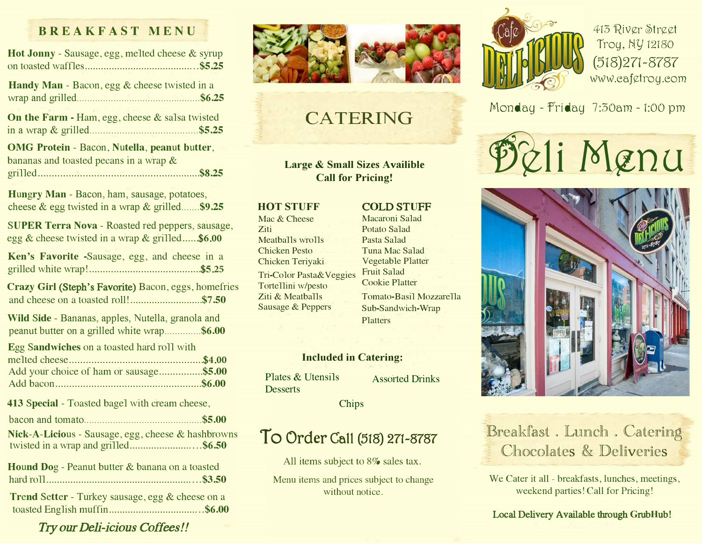### **BREAKFAST MENU**

| Hot Jonny - Sausage, egg, melted cheese & syrup                                                           |
|-----------------------------------------------------------------------------------------------------------|
| Handy Man - Bacon, egg & cheese twisted in a                                                              |
| On the Farm - Ham, egg, cheese & salsa twisted                                                            |
| <b>OMG Protein - Bacon, Nutella, peanut butter,</b><br>bananas and toasted pecans in a wrap $\&$          |
| Hungry Man - Bacon, ham, sausage, potatoes,<br>cheese & egg twisted in a wrap & grilled\$9.25             |
| <b>SUPER Terra Nova - Roasted red peppers, sausage,</b><br>egg & cheese twisted in a wrap & grilled\$6.00 |
| Ken's Favorite -Sausage, egg, and cheese in a                                                             |
| Crazy Girl (Steph's Favorite) Bacon, eggs, homefries<br>and cheese on a toasted roll!\$7.50               |
| Wild Side - Bananas, apples, Nutella, granola and<br>peanut butter on a grilled white wrap\$6.00          |
| Egg Sandwiches on a toasted hard roll with<br>Add your choice of ham or sausage\$5.00                     |
| 413 Special - Toasted bagel with cream cheese,                                                            |
|                                                                                                           |
| Nick-A-Licious - Sausage, egg, cheese & hashbrowns<br>twisted in a wrap and grilled\$6.50                 |
| Hound Dog - Peanut butter & banana on a toasted                                                           |
| Trend Setter - Turkey sausage, egg & cheese on a                                                          |

�

## CATERING

**Large & Small Sizes Availible Call for Pricing!** 

#### **HOT STUFF**

Mac & Cheese Ziti Meatballs wrolls Chicken Pesto Chicken Teriyaki Tri-Color Pasta&Veggies Tortellini w/pesto Ziti & Meatballs

Sausage & Peppers

Potato Salad Pasta Salad Tuna Mac Salad Vegetable Platter Fruit Salad Cookie Platter

C**O**LD ST**U**FF Macaroni Salad

Tomato-Basil Mozzarella Sub-Sandwich-Wrap Platters

#### **Included in Catering:**

Plates & Utensils Assorted Drinks **Desserts** 

Chips

# To Ord**e**r Call (518) 271-8787

All items subject to 8% sales tax.

Menu items and prices subject to change without notice



413 River Street Troy, *N.'Y* 12180 (518)271-8787 www.cafetroy.com

Monday - friday 7:30am - 1:00 pm

71 Menu



## Breakfast . Lunch . Catering Chocolates & Deliveries

We Cater it all - breakfasts, lunches, meetings, weekend parties! Call for Pricing!

#### Local Delivery Available through **G**rub**H**ub!

Try our Deli-icious Coffees!!